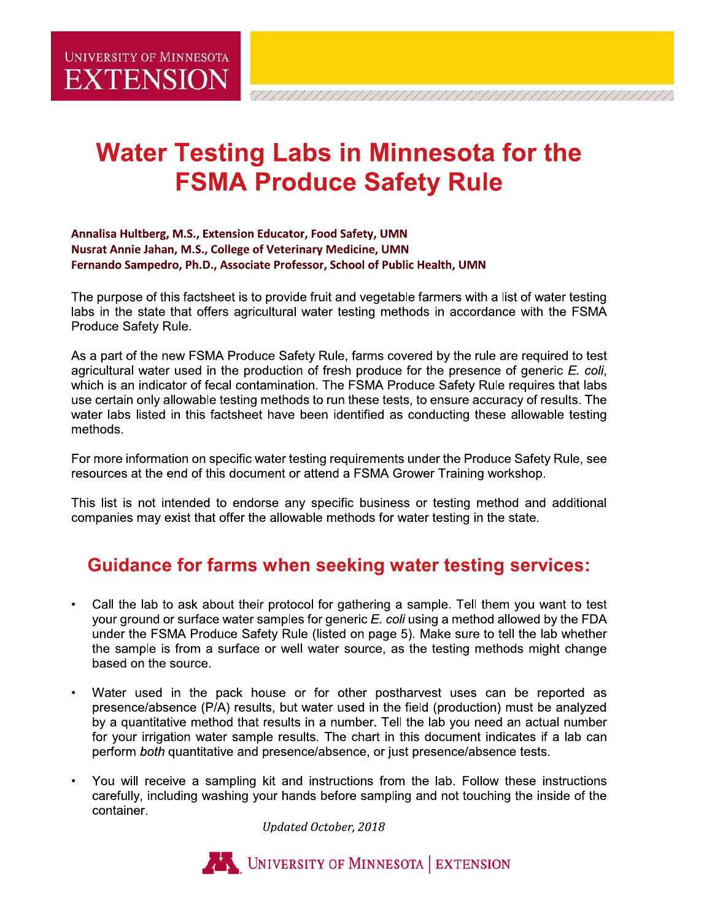# **Water Testing Labs in Minnesota for the FSMA Produce Safety Rule**

#### Annalisa Hultberg, M.S., Extension Educator, Food Safety, UMN Nusrat Annie Jahan, M.S., College of Veterinary Medicine, UMN Fernando Sampedro, Ph.D., Associate Professor, School of Public Health, UMN

The purpose of this factsheet is to provide fruit and vegetable farmers with a list of water testing labs in the state that offers agricultural water testing methods in accordance with the FSMA Produce Safety Rule.

As a part of the new FSMA Produce Safety Rule, farms covered by the rule are required to test agricultural water used in the production of fresh produce for the presence of generic E. coli, which is an indicator of fecal contamination. The FSMA Produce Safety Rule requires that labs use certain only allowable testing methods to run these tests, to ensure accuracy of results. The water labs listed in this factsheet have been identified as conducting these allowable testing methods.

For more information on specific water testing requirements under the Produce Safety Rule, see resources at the end of this document or attend a FSMA Grower Training workshop.

This list is not intended to endorse any specific business or testing method and additional companies may exist that offer the allowable methods for water testing in the state.

### **Guidance for farms when seeking water testing services:**

- Call the lab to ask about their protocol for gathering a sample. Tell them you want to test  $\bullet$ your ground or surface water samples for generic E. coli using a method allowed by the FDA under the FSMA Produce Safety Rule (listed on page 5). Make sure to tell the lab whether the sample is from a surface or well water source, as the testing methods might change based on the source.
- Water used in the pack house or for other postharvest uses can be reported as  $\bullet$ presence/absence (P/A) results, but water used in the field (production) must be analyzed by a quantitative method that results in a number. Tell the lab you need an actual number for your irrigation water sample results. The chart in this document indicates if a lab can perform both quantitative and presence/absence, or just presence/absence tests.
- You will receive a sampling kit and instructions from the lab. Follow these instructions  $\bullet$ carefully, including washing your hands before sampling and not touching the inside of the container.

Updated October, 2018

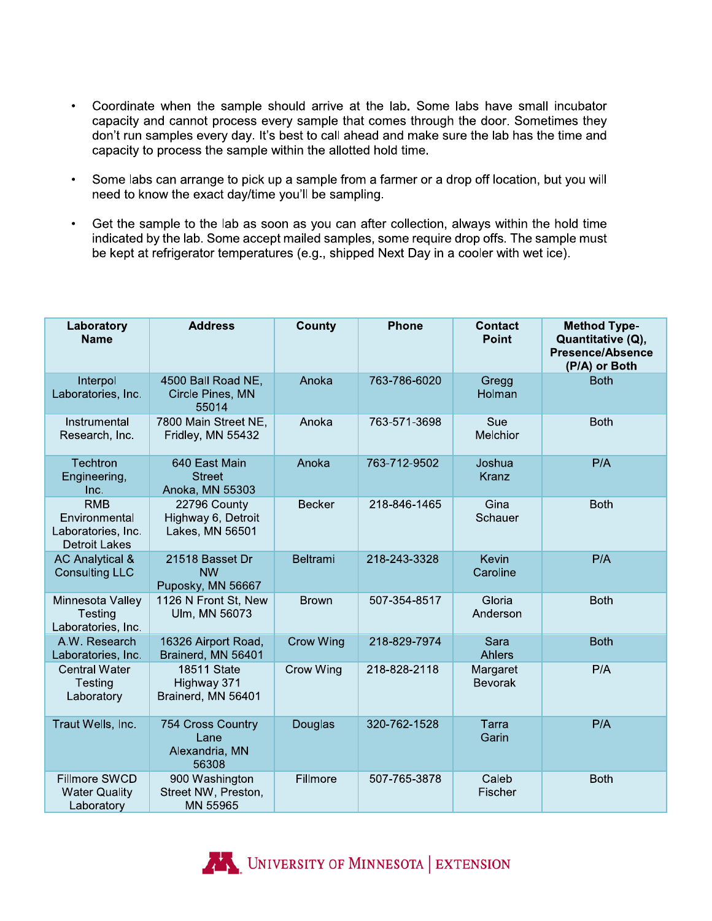- $\bullet$ Coordinate when the sample should arrive at the lab. Some labs have small incubator capacity and cannot process every sample that comes through the door. Sometimes they don't run samples every day. It's best to call ahead and make sure the lab has the time and capacity to process the sample within the allotted hold time.
- $\bullet$  . Some labs can arrange to pick up a sample from a farmer or a drop off location, but you will need to know the exact day/time you'll be sampling.
- Get the sample to the lab as soon as you can after collection, always within the hold time  $\bullet$ indicated by the lab. Some accept mailed samples, some require drop offs. The sample must be kept at refrigerator temperatures (e.g., shipped Next Day in a cooler with wet ice).

| Laboratory<br><b>Name</b>                                                 | <b>Address</b>                                        | County        | <b>Phone</b> | <b>Contact</b><br><b>Point</b> | <b>Method Type-</b><br>Quantitative (Q),<br><b>Presence/Absence</b><br>(P/A) or Both |
|---------------------------------------------------------------------------|-------------------------------------------------------|---------------|--------------|--------------------------------|--------------------------------------------------------------------------------------|
| Interpol<br>Laboratories, Inc.                                            | 4500 Ball Road NE,<br>Circle Pines, MN<br>55014       | Anoka         | 763-786-6020 | Gregg<br>Holman                | <b>Both</b>                                                                          |
| Instrumental<br>Research, Inc.                                            | 7800 Main Street NE,<br>Fridley, MN 55432             | Anoka         | 763-571-3698 | Sue<br>Melchior                | <b>Both</b>                                                                          |
| Techtron<br>Engineering,<br>Inc.                                          | 640 East Main<br><b>Street</b><br>Anoka, MN 55303     | Anoka         | 763-712-9502 | Joshua<br><b>Kranz</b>         | P/A                                                                                  |
| <b>RMB</b><br>Environmental<br>Laboratories, Inc.<br><b>Detroit Lakes</b> | 22796 County<br>Highway 6, Detroit<br>Lakes, MN 56501 | <b>Becker</b> | 218-846-1465 | Gina<br>Schauer                | <b>Both</b>                                                                          |
| <b>AC Analytical &amp;</b><br><b>Consulting LLC</b>                       | 21518 Basset Dr<br><b>NW</b><br>Puposky, MN 56667     | Beltrami      | 218-243-3328 | <b>Kevin</b><br>Caroline       | P/A                                                                                  |
| Minnesota Valley<br>Testing<br>Laboratories, Inc.                         | 1126 N Front St, New<br>Ulm, MN 56073                 | <b>Brown</b>  | 507-354-8517 | Gloria<br>Anderson             | <b>Both</b>                                                                          |
| A.W. Research<br>Laboratories, Inc.                                       | 16326 Airport Road,<br>Brainerd, MN 56401             | Crow Wing     | 218-829-7974 | Sara<br>Ahlers                 | <b>Both</b>                                                                          |
| <b>Central Water</b><br>Testing<br>Laboratory                             | 18511 State<br>Highway 371<br>Brainerd, MN 56401      | Crow Wing     | 218-828-2118 | Margaret<br><b>Bevorak</b>     | P/A                                                                                  |
| Traut Wells, Inc.                                                         | 754 Cross Country<br>Lane<br>Alexandria, MN<br>56308  | Douglas       | 320-762-1528 | Tarra<br>Garin                 | P/A                                                                                  |
| <b>Fillmore SWCD</b><br><b>Water Quality</b><br>Laboratory                | 900 Washington<br>Street NW, Preston,<br>MN 55965     | Fillmore      | 507-765-3878 | Caleb<br>Fischer               | <b>Both</b>                                                                          |

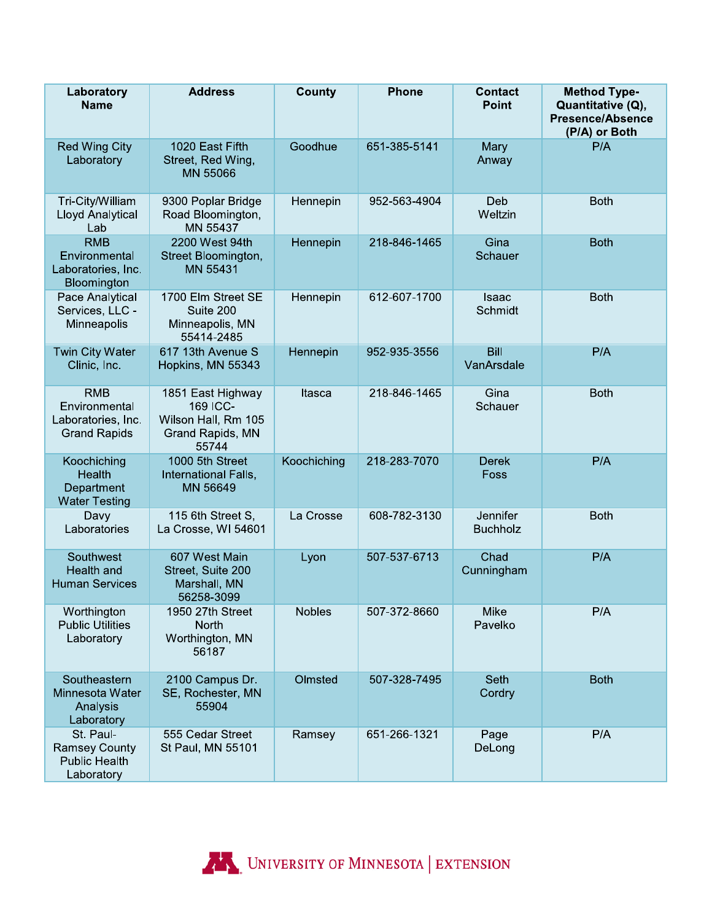| Laboratory<br><b>Name</b>                                                | <b>Address</b>                                                                    | County        | <b>Phone</b> | <b>Contact</b><br>Point     | <b>Method Type-</b><br>Quantitative (Q),<br><b>Presence/Absence</b><br>(P/A) or Both |
|--------------------------------------------------------------------------|-----------------------------------------------------------------------------------|---------------|--------------|-----------------------------|--------------------------------------------------------------------------------------|
| <b>Red Wing City</b><br>Laboratory                                       | 1020 East Fifth<br>Street, Red Wing,<br>MN 55066                                  | Goodhue       | 651-385-5141 | Mary<br>Anway               | P/A                                                                                  |
| Tri-City/William<br>Lloyd Analytical<br>Lab                              | 9300 Poplar Bridge<br>Road Bloomington,<br>MN 55437                               | Hennepin      | 952-563-4904 | Deb<br>Weltzin              | <b>Both</b>                                                                          |
| <b>RMB</b><br>Environmental<br>Laboratories, Inc.<br>Bloomington         | 2200 West 94th<br>Street Bloomington,<br>MN 55431                                 | Hennepin      | 218-846-1465 | Gina<br>Schauer             | <b>Both</b>                                                                          |
| Pace Analytical<br>Services, LLC -<br>Minneapolis                        | 1700 Elm Street SE<br>Suite 200<br>Minneapolis, MN<br>55414-2485                  | Hennepin      | 612-607-1700 | Isaac<br>Schmidt            | <b>Both</b>                                                                          |
| <b>Twin City Water</b><br>Clinic, Inc.                                   | 617 13th Avenue S<br>Hopkins, MN 55343                                            | Hennepin      | 952-935-3556 | <b>Bill</b><br>VanArsdale   | P/A                                                                                  |
| <b>RMB</b><br>Environmental<br>Laboratories, Inc.<br><b>Grand Rapids</b> | 1851 East Highway<br>169 ICC-<br>Wilson Hall, Rm 105<br>Grand Rapids, MN<br>55744 | Itasca        | 218-846-1465 | Gina<br>Schauer             | <b>Both</b>                                                                          |
| Koochiching<br>Health<br>Department<br><b>Water Testing</b>              | 1000 5th Street<br>International Falls,<br>MN 56649                               | Koochiching   | 218-283-7070 | <b>Derek</b><br>Foss        | P/A                                                                                  |
| Davy<br>Laboratories                                                     | 115 6th Street S,<br>La Crosse, WI 54601                                          | La Crosse     | 608-782-3130 | Jennifer<br><b>Buchholz</b> | <b>Both</b>                                                                          |
| Southwest<br>Health and<br><b>Human Services</b>                         | 607 West Main<br>Street, Suite 200<br>Marshall, MN<br>56258-3099                  | Lyon          | 507-537-6713 | Chad<br>Cunningham          | P/A                                                                                  |
| Worthington<br><b>Public Utilities</b><br>Laboratory                     | 1950 27th Street<br>North<br>Worthington, MN<br>56187                             | <b>Nobles</b> | 507-372-8660 | Mike<br>Pavelko             | P/A                                                                                  |
| Southeastern<br>Minnesota Water<br>Analysis<br>Laboratory                | 2100 Campus Dr.<br>SE, Rochester, MN<br>55904                                     | Olmsted       | 507-328-7495 | Seth<br>Cordry              | <b>Both</b>                                                                          |
| St. Paul-<br><b>Ramsey County</b><br><b>Public Health</b><br>Laboratory  | 555 Cedar Street<br>St Paul, MN 55101                                             | Ramsey        | 651-266-1321 | Page<br>DeLong              | P/A                                                                                  |

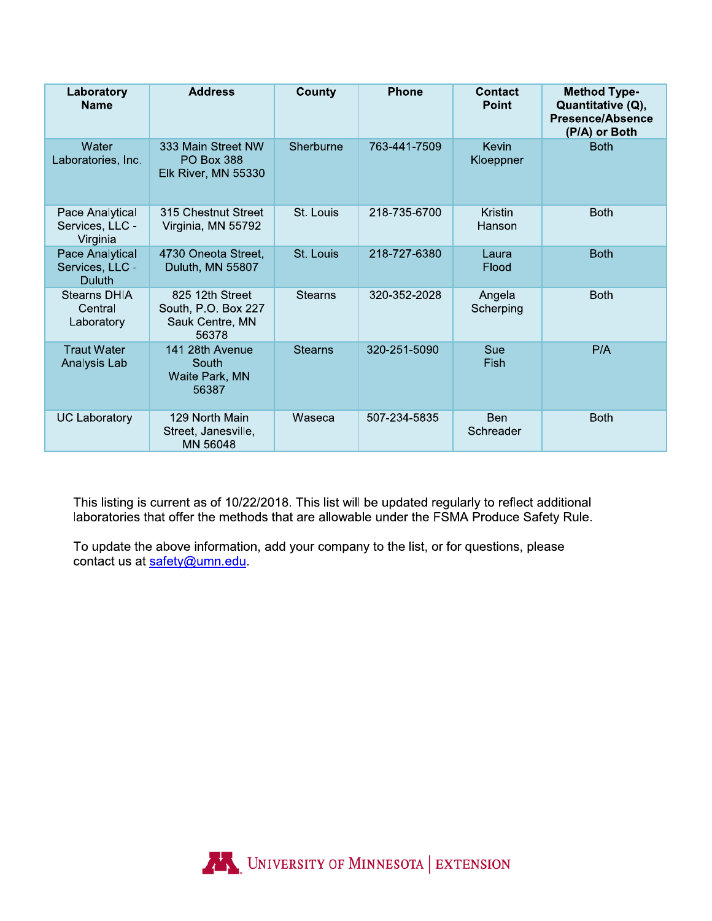| Laboratory<br><b>Name</b>                      | <b>Address</b>                                                     | County         | <b>Phone</b> | Contact<br><b>Point</b>  | <b>Method Type-</b><br>Quantitative (Q),<br><b>Presence/Absence</b><br>(P/A) or Both |
|------------------------------------------------|--------------------------------------------------------------------|----------------|--------------|--------------------------|--------------------------------------------------------------------------------------|
| Water<br>Laboratories, Inc.                    | 333 Main Street NW<br><b>PO Box 388</b><br>Elk River, MN 55330     | Sherburne      | 763-441-7509 | Kevin<br>Kloeppner       | <b>Both</b>                                                                          |
| Pace Analytical<br>Services, LLC -<br>Virginia | 315 Chestnut Street<br>Virginia, MN 55792                          | St. Louis      | 218-735-6700 | <b>Kristin</b><br>Hanson | <b>Both</b>                                                                          |
| Pace Analytical<br>Services, LLC -<br>Duluth   | 4730 Oneota Street,<br>Duluth, MN 55807                            | St. Louis      | 218-727-6380 | Laura<br>Flood           | <b>Both</b>                                                                          |
| <b>Stearns DHIA</b><br>Central<br>Laboratory   | 825 12th Street<br>South, P.O. Box 227<br>Sauk Centre, MN<br>56378 | <b>Stearns</b> | 320-352-2028 | Angela<br>Scherping      | <b>Both</b>                                                                          |
| <b>Traut Water</b><br>Analysis Lab             | 141 28th Avenue<br>South<br>Waite Park, MN<br>56387                | <b>Stearns</b> | 320-251-5090 | Sue<br>Fish              | P/A                                                                                  |
| <b>UC Laboratory</b>                           | 129 North Main<br>Street, Janesville,<br>MN 56048                  | Waseca         | 507-234-5835 | <b>Ben</b><br>Schreader  | <b>Both</b>                                                                          |

This listing is current as of 10/22/2018. This list will be updated regularly to reflect additional laboratories that offer the methods that are allowable under the FSMA Produce Safety Rule.

To update the above information, add your company to the list, or for questions, please contact us at safety@umn.edu.

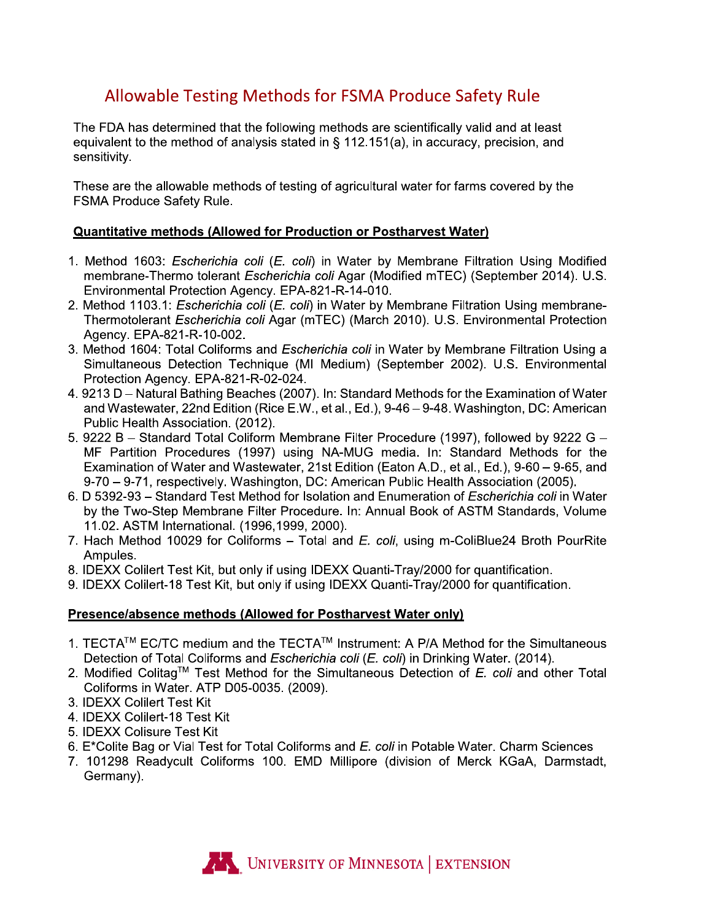## **Allowable Testing Methods for FSMA Produce Safety Rule**

The FDA has determined that the following methods are scientifically valid and at least equivalent to the method of analysis stated in  $\S$  112.151(a), in accuracy, precision, and sensitivity.

These are the allowable methods of testing of agricultural water for farms covered by the FSMA Produce Safety Rule.

#### **Quantitative methods (Allowed for Production or Postharvest Water)**

- 1. Method 1603: *Escherichia coli (E. coli*) in Water by Membrane Filtration Using Modified membrane-Thermo tolerant Escherichia coli Agar (Modified mTEC) (September 2014). U.S. Environmental Protection Agency. EPA-821-R-14-010.
- 2. Method 1103.1: *Escherichia coli (E. coli)* in Water by Membrane Filtration Using membrane-Thermotolerant Escherichia coli Agar (mTEC) (March 2010). U.S. Environmental Protection Agency. EPA-821-R-10-002.
- 3. Method 1604: Total Coliforms and *Escherichia coli* in Water by Membrane Filtration Using a Simultaneous Detection Technique (MI Medium) (September 2002). U.S. Environmental Protection Agency. EPA-821-R-02-024.
- 4. 9213 D Natural Bathing Beaches (2007). In: Standard Methods for the Examination of Water and Wastewater, 22nd Edition (Rice E.W., et al., Ed.), 9-46 – 9-48. Washington, DC: American Public Health Association. (2012).
- 5. 9222 B Standard Total Coliform Membrane Filter Procedure (1997), followed by 9222 G -MF Partition Procedures (1997) using NA-MUG media. In: Standard Methods for the Examination of Water and Wastewater, 21st Edition (Eaton A.D., et al., Ed.), 9-60 - 9-65, and 9-70 - 9-71, respectively. Washington, DC: American Public Health Association (2005).
- 6. D 5392-93 Standard Test Method for Isolation and Enumeration of Escherichia coli in Water by the Two-Step Membrane Filter Procedure. In: Annual Book of ASTM Standards, Volume 11.02. ASTM International. (1996.1999, 2000).
- 7. Hach Method 10029 for Coliforms Total and E. coli, using m-ColiBlue24 Broth PourRite Ampules.
- 8. IDEXX Colilert Test Kit, but only if using IDEXX Quanti-Tray/2000 for quantification.
- 9. IDEXX Colilert-18 Test Kit, but only if using IDEXX Quanti-Tray/2000 for quantification.

#### Presence/absence methods (Allowed for Postharvest Water only)

- 1. TECTA™ EC/TC medium and the TECTA™ Instrument: A P/A Method for the Simultaneous Detection of Total Coliforms and Escherichia coli (E. coli) in Drinking Water. (2014).
- 2. Modified Colitaq™ Test Method for the Simultaneous Detection of  $E$ . coli and other Total Coliforms in Water. ATP D05-0035. (2009).
- 3. IDEXX Colilert Test Kit
- 4. IDEXX Colilert-18 Test Kit
- 5. IDEXX Colisure Test Kit
- 6. E\*Colite Bag or Vial Test for Total Coliforms and E. coli in Potable Water. Charm Sciences
- 7. 101298 Readycult Coliforms 100. EMD Millipore (division of Merck KGaA, Darmstadt, Germany).